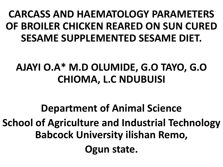## **CARCASS AND HAEMATOLOGY PARAMETERS OF BROILER CHICKEN REARED ON SUN CURED SESAME SUPPLEMENTED SESAME DIET.**

# **AJAYI O.A\* M.D OLUMIDE, G.O TAYO, G.O CHIOMA, L.C NDUBUISI**

# **Department of Animal Science School of Agriculture and Industrial Technology Babcock University ilishan Remo, Ogun state.**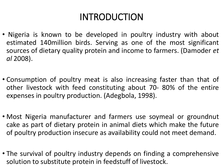### INTRODUCTION

- Nigeria is known to be developed in poultry industry with about estimated 140million birds. Serving as one of the most significant sources of dietary quality protein and income to farmers. (Damoder *et al* 2008).
- Consumption of poultry meat is also increasing faster than that of other livestock with feed constituting about 70- 80% of the entire expenses in poultry production. (Adegbola, 1998).
- Most Nigeria manufacturer and farmers use soymeal or groundnut cake as part of dietary protein in animal diets which make the future of poultry production insecure as availability could not meet demand.
- The survival of poultry industry depends on finding a comprehensive solution to substitute protein in feedstuff of livestock.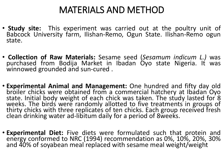### MATERIALS AND METHOD

- **Study site:** This experiment was carried out at the poultry unit of Babcock University farm, Ilishan-Remo, Ogun State. Ilishan-Remo ogun state.
- **Collection of Raw Materials:** Sesame seed (*Sesamum indicum L.)* was purchased from Bodija Market in Ibadan Oyo state Nigeria. It was winnowed grounded and sun-cured .
- **Experimental Animal and Management:** One hundred and fifty day old broiler chicks were obtained from a commercial hatchery at Ibadan Oyo state. Initial body weight of each chick was taken. The study lasted for 8 weeks. The birds were randomly allotted to five treatments in groups of thirty chicks with three replicates of ten chicks. Each group received fresh clean drinking water ad-libitum daily for a period of 8weeks.
- **Experimental Diet:** Five diets were formulated such that protein and energy conformed to NRC (1994) recommendation as 0%, 10%, 20%, 30% and 40% of soyabean meal replaced with sesame meal weight/weight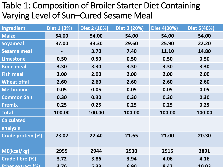#### Table 1: Composition of Broiler Starter Diet Containing Varying Level of Sun–Cured Sesame Meal

| <b>Ingredient</b>     | Diet 1 (0%) | Diet 2 (10%) | Diet 3 (20%) | Diet 4(30%) | Diet 5(40%)  |
|-----------------------|-------------|--------------|--------------|-------------|--------------|
| <b>Maize</b>          | 54.00       | 54.00        | 54.00        | 54.00       | 54.00        |
| <b>Soyameal</b>       | 37.00       | 33.30        | 29.60        | 25.90       | 22.20        |
| <b>Sesame meal</b>    |             | 3.70         | 7.40         | 11.10       | 14.80        |
| <b>Limestone</b>      | 0.50        | 0.50         | 0.50         | 0.50        | 0.50         |
| <b>Bone meal</b>      | 3.30        | 3.30         | 3.30         | 3.30        | 3.30         |
| <b>Fish meal</b>      | 2.00        | 2.00         | 2.00         | 2.00        | 2.00         |
| <b>Wheat offal</b>    | 2.60        | 2.60         | 2.60         | 2.60        | 2.60         |
| <b>Methionine</b>     | 0.05        | 0.05         | 0.05         | 0.05        | 0.05         |
| <b>Common Salt</b>    | 0.30        | 0.30         | 0.30         | 0.30        | 0.30         |
| <b>Premix</b>         | 0.25        | 0.25         | 0.25         | 0.25        | 0.25         |
| <b>Total</b>          | 100.00      | 100.00       | 100.00       | 100.00      | 100.00       |
| <b>Calculated</b>     |             |              |              |             |              |
| analysis              |             |              |              |             |              |
| Crude protein (%)     | 23.02       | 22.40        | 21.65        | 21.00       | 20.30        |
|                       |             |              |              |             |              |
| ME(kcal/kg)           | 2959        | 2944         | 2930         | 2915        | 2891         |
| Crude fibre (%)       | 3.72        | 3.86         | 3.94         | 4.06        | 4.16         |
| Fther extract $(9/2)$ | 376         | 533          |              | $9.47$      | <u>1በ በ3</u> |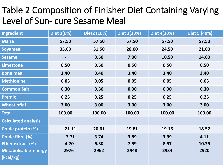### Table 2 Composition of Finisher Diet Containing Varying Level of Sun- cure Sesame Meal

| <b>Ingredient</b>                        | Diet 1(0%) | Diet2 (10%) | Diet 3(20%) | Diet 4(30%) | Diet 5 (40%) |
|------------------------------------------|------------|-------------|-------------|-------------|--------------|
| <b>Maize</b>                             | 57.50      | 57.50       | 57.50       | 57.50       | 57.50        |
| <b>Soyameal</b>                          | 35.00      | 31.50       | 28.00       | 24.50       | 21.00        |
| <b>Sesame</b>                            |            | 3.50        | 7.00        | 10.50       | 14.00        |
| <b>Limestone</b>                         | 0.50       | 0.50        | 0.50        | 0.50        | 0.50         |
| <b>Bone meal</b>                         | 3.40       | 3.40        | 3.40        | 3.40        | 3.40         |
| <b>Methionine</b>                        | 0.05       | 0.05        | 0.05        | 0.05        | 0.05         |
| <b>Common Salt</b>                       | 0.30       | 0.30        | 0.30        | 0.30        | 0.30         |
| <b>Premix</b>                            | 0.25       | 0.25        | 0.25        | 0.25        | 0.25         |
| <b>Wheat offal</b>                       | 3.00       | 3.00        | 3.00        | 3.00        | 3.00         |
| <b>Total</b>                             | 100.00     | 100.00      | 100.00      | 100.00      | 100.00       |
| <b>Calculated analysis</b>               |            |             |             |             |              |
| Crude protein (%)                        | 21.11      | 20.61       | 19.81       | 19.16       | 18.52        |
| Crude fibre (%)                          | 3.71       | 3.74        | 3.89        | 3.99        | 4.11         |
| Ether extract (%)                        | 4.70       | 6.30        | 7.59        | 8.97        | 10.39        |
| <b>Metabolisable energy</b><br>(kcal/kg) | 2976       | 2962        | 2948        | 2934        | 2920         |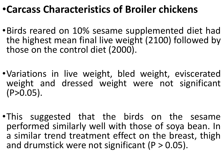### •**Carcass Characteristics of Broiler chickens**

- •Birds reared on 10% sesame supplemented diet had the highest mean final live weight (2100) followed by those on the control diet (2000).
- •Variations in live weight, bled weight, eviscerated weight and dressed weight were not significant  $(P>0.05)$ .
- •This suggested that the birds on the sesame performed similarly well with those of soya bean. In a similar trend treatment effect on the breast, thigh and drumstick were not significant  $(P > 0.05)$ .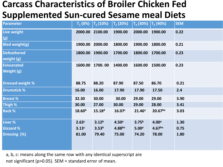#### **Carcass Characteristics of Broiler Chicken Fed Supplemented Sun-cured Sesame meal Diets**

| <b>Parameter</b>        | $T_1(0%)$          | $ T, (10\%) $      | $T_a(20%)$         | $T_a$ (30%) $T_5$ (40%) |                     | <b>SEM</b> |
|-------------------------|--------------------|--------------------|--------------------|-------------------------|---------------------|------------|
| Live weight             | 2000.00            | 2100.00            | 1900.00            | 2000.00                 | 1900.00             | 0.22       |
| (g)                     |                    |                    |                    |                         |                     |            |
| <b>Bled weight(g)</b>   | 1900.00            | 2000.00            | 1800.00            | 1900.00                 | 1800.00             | 0.21       |
| <b>Defeathered</b>      | 1800.00            | 1900.00            | 1700.00            | 1800.00                 | 1700.00             | 0.23       |
| weight (g)              |                    |                    |                    |                         |                     |            |
| <b>Eviscerated</b>      | 1600.00            | 1700.00            | 1400.00            | 1600.00                 | 1500.00             | 0.23       |
| Weight (g)              |                    |                    |                    |                         |                     |            |
|                         |                    |                    |                    |                         |                     |            |
| <b>Dressed weight %</b> | 88.75              | 88.20              | 87.90              | 87.50                   | 86.70               | 0.21       |
| <b>Drumstick %</b>      | 16.00              | 16.00              | 17.90              | 17.90                   | 17.50               | 2.4        |
| <b>Breast %</b>         | 32.30              | 30.00              | 30.00              | 29.00                   | 29.00               | 3.90       |
| Thigh %                 | 30.00              | 27.00              | 30.00              | 29.00                   | 28.00               | 3.41       |
| <b>Back %</b>           | 18.60 <sup>b</sup> | 15.18 <sup>d</sup> | 16.07 <sup>c</sup> | 21.46a                  | 20.67 <sup>ba</sup> | 3.03       |
| Liver %                 | 2.63 <sup>c</sup>  | 3.12 <sup>b</sup>  | 4.50 <sup>a</sup>  | 3.75 <sup>b</sup>       | 4.00 <sup>a</sup>   | 1.30       |
| <b>Gizzard %</b>        | 3.13 <sup>c</sup>  | 3.53 <sup>b</sup>  | 4.88 <sup>ba</sup> | 5.00 <sup>a</sup>       | 4.67 <sup>ba</sup>  | 0.75       |
| Dressing (%)            | 81.00              | 79.40              | 75.00              | 74.20                   | 78.00               | 1.80       |
|                         |                    |                    |                    |                         |                     |            |
|                         |                    |                    |                    |                         |                     |            |

a, b, c: means along the same row with any identical superscript are not significant (p>0.05). SEM = standard error of mean.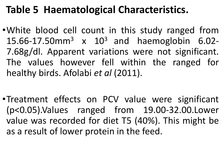### **Table 5 Haematological Characteristics.**

- •White blood cell count in this study ranged from 15.66-17.50mm<sup>3</sup> x 10<sup>3</sup> and haemoglobin 6.02-7.68g/dl. Apparent variations were not significant. The values however fell within the ranged for healthy birds. Afolabi *et al* (2011).
- •Treatment effects on PCV value were significant (p<0.05).Values ranged from 19.00-32.00.Lower value was recorded for diet T5 (40%). This might be as a result of lower protein in the feed.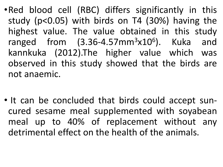• Red blood cell (RBC) differs significantly in this study (p<0.05) with birds on T4 (30%) having the highest value. The value obtained in this study ranged from  $(3.36-4.57mm^3x10^6)$ . Kuka and kannkuka (2012).The higher value which was observed in this study showed that the birds are not anaemic.

• It can be concluded that birds could accept suncured sesame meal supplemented with soyabean meal up to 40% of replacement without any detrimental effect on the health of the animals.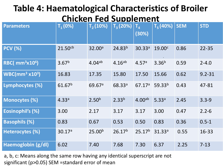#### **Table 4: Haematological Characteristics of Broiler Chicken Fed Supplement**

| <b>Parameters</b>                             | $T_1(0%)$           | $T_2(10%)$         | $T_3(20%)$         | $T_{\rm A}$<br>(30%) | $T_5(40%)$         | <b>SEM</b> | <b>STD</b> |
|-----------------------------------------------|---------------------|--------------------|--------------------|----------------------|--------------------|------------|------------|
| <b>PCV (%)</b>                                | 21.50 <sup>cb</sup> | 32.00 <sup>a</sup> | 24.83 <sup>b</sup> | 30.33a               | 19.00 <sup>c</sup> | 0.86       | $22 - 35$  |
| $\overline{\textsf{RBC}}$ (mm $^3$ x10 $^6$ ) | 3.67 <sup>b</sup>   | $4.04^{ab}$        | $4.16^{ab}$        | 4.57a                | $3.36^{b}$         | 0.59       | $2 - 4.0$  |
| $WBC/mm^3 x10^3)$                             | 16.83               | 17.35              | 15.80              | 17.50                | 15.66              | 0.62       | $9.2 - 31$ |
| Lymphocytes (%)                               | 61.67 <sup>b</sup>  | 69.67a             | 68.33a             | 67.17a               | 59.33 <sup>b</sup> | 0.43       | 47-81      |
| <b>Monocytes (%)</b>                          | 4.33a               | 2.50 <sup>b</sup>  | 2.33 <sup>b</sup>  | 4.00 <sup>ab</sup>   | 5.33a              | 2.45       | $3.3 - 9$  |
| <b>Eosinophil's (%)</b>                       | 3.00                | 2.17               | 3.17               | 3.17                 | 3.00               | 0.47       | $2.2 - 6$  |
| <b>Basophils (%)</b>                          | 0.83                | 0.67               | 0.53               | 0.50                 | 0.83               | 0.36       | $0.5 - 1$  |
| Heterocytes (%)                               | 30.17a              | 25.00 <sup>b</sup> | 26.17 <sup>b</sup> | 25.17 <sup>b</sup>   | 31.33a             | 0.55       | 16-33      |
| Haemoglobin (g/dl)                            | 6.02                | 7.40               | 7.68               | 7.30                 | 6.37               | 2.25       | $7 - 13$   |

a, b, c: Means along the same row having any identical superscript are not significant (p>0.05) SEM =standard error of mean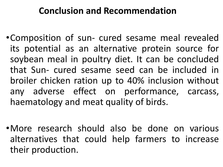#### **Conclusion and Recommendation**

- •Composition of sun- cured sesame meal revealed its potential as an alternative protein source for soybean meal in poultry diet. It can be concluded that Sun- cured sesame seed can be included in broiler chicken ration up to 40% inclusion without any adverse effect on performance, carcass, haematology and meat quality of birds.
- •More research should also be done on various alternatives that could help farmers to increase their production.